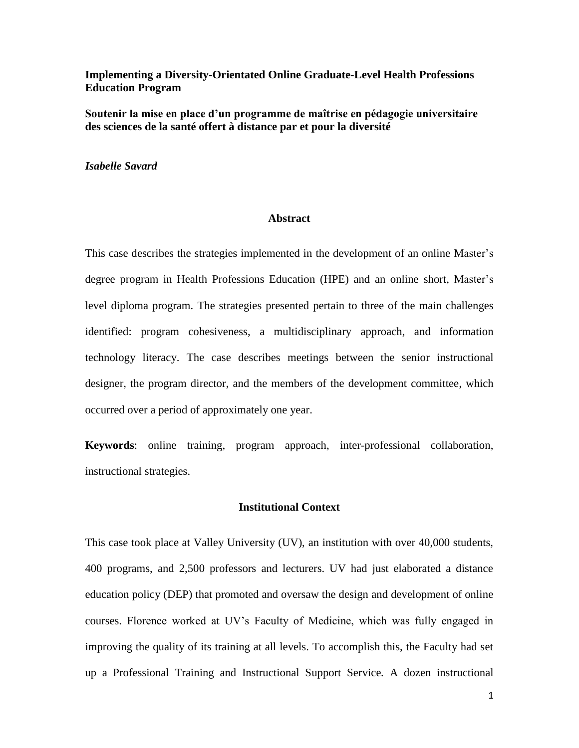# **Implementing a Diversity-Orientated Online Graduate-Level Health Professions Education Program**

**Soutenir la mise en place d'un programme de maîtrise en pédagogie universitaire des sciences de la santé offert à distance par et pour la diversité**

*Isabelle Savard*

#### **Abstract**

This case describes the strategies implemented in the development of an online Master's degree program in Health Professions Education (HPE) and an online short, Master's level diploma program. The strategies presented pertain to three of the main challenges identified: program cohesiveness, a multidisciplinary approach, and information technology literacy. The case describes meetings between the senior instructional designer, the program director, and the members of the development committee, which occurred over a period of approximately one year.

**Keywords**: online training, program approach, inter-professional collaboration, instructional strategies.

#### **Institutional Context**

This case took place at Valley University (UV), an institution with over 40,000 students, 400 programs, and 2,500 professors and lecturers. UV had just elaborated a distance education policy (DEP) that promoted and oversaw the design and development of online courses. Florence worked at UV's Faculty of Medicine, which was fully engaged in improving the quality of its training at all levels. To accomplish this, the Faculty had set up a Professional Training and Instructional Support Service*.* A dozen instructional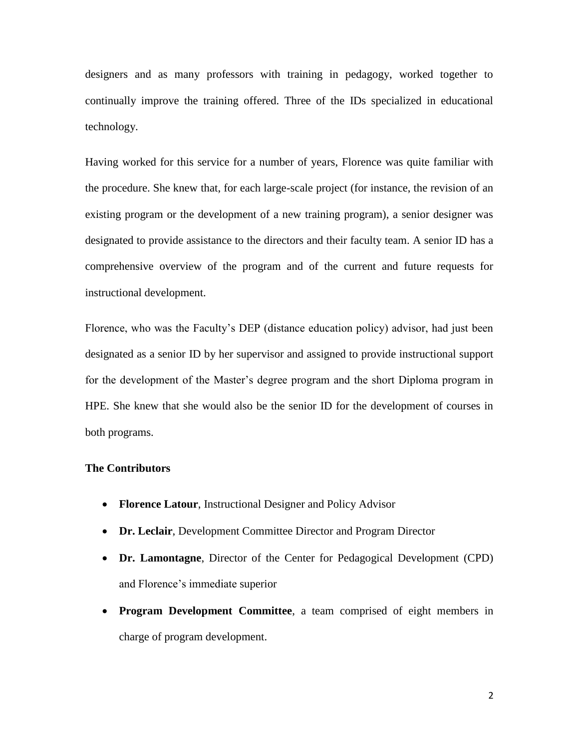designers and as many professors with training in pedagogy, worked together to continually improve the training offered. Three of the IDs specialized in educational technology.

Having worked for this service for a number of years, Florence was quite familiar with the procedure. She knew that, for each large-scale project (for instance, the revision of an existing program or the development of a new training program), a senior designer was designated to provide assistance to the directors and their faculty team. A senior ID has a comprehensive overview of the program and of the current and future requests for instructional development.

Florence, who was the Faculty's DEP (distance education policy) advisor, had just been designated as a senior ID by her supervisor and assigned to provide instructional support for the development of the Master's degree program and the short Diploma program in HPE. She knew that she would also be the senior ID for the development of courses in both programs.

# **The Contributors**

- **Florence Latour**, Instructional Designer and Policy Advisor
- **Dr. Leclair**, Development Committee Director and Program Director
- **Dr. Lamontagne**, Director of the Center for Pedagogical Development (CPD) and Florence's immediate superior
- **Program Development Committee**, a team comprised of eight members in charge of program development.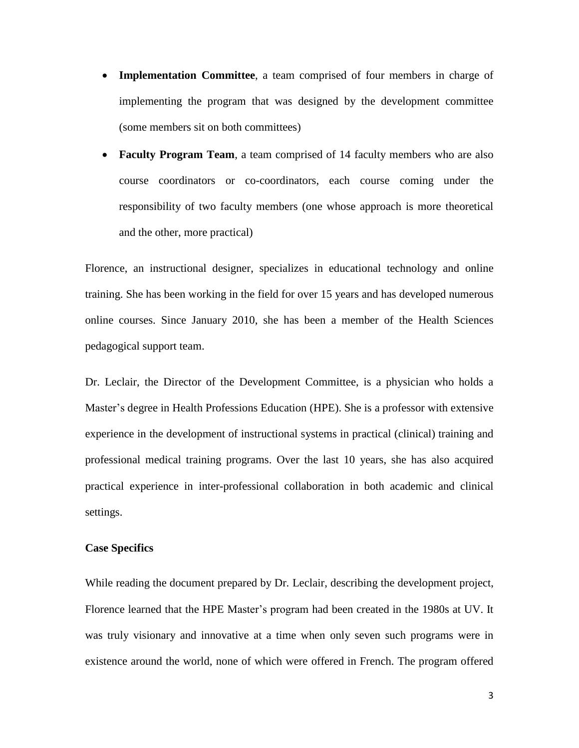- **Implementation Committee**, a team comprised of four members in charge of implementing the program that was designed by the development committee (some members sit on both committees)
- **Faculty Program Team**, a team comprised of 14 faculty members who are also course coordinators or co-coordinators, each course coming under the responsibility of two faculty members (one whose approach is more theoretical and the other, more practical)

Florence, an instructional designer, specializes in educational technology and online training. She has been working in the field for over 15 years and has developed numerous online courses. Since January 2010, she has been a member of the Health Sciences pedagogical support team.

Dr. Leclair, the Director of the Development Committee, is a physician who holds a Master's degree in Health Professions Education (HPE). She is a professor with extensive experience in the development of instructional systems in practical (clinical) training and professional medical training programs. Over the last 10 years, she has also acquired practical experience in inter-professional collaboration in both academic and clinical settings.

# **Case Specifics**

While reading the document prepared by Dr. Leclair, describing the development project, Florence learned that the HPE Master's program had been created in the 1980s at UV. It was truly visionary and innovative at a time when only seven such programs were in existence around the world, none of which were offered in French. The program offered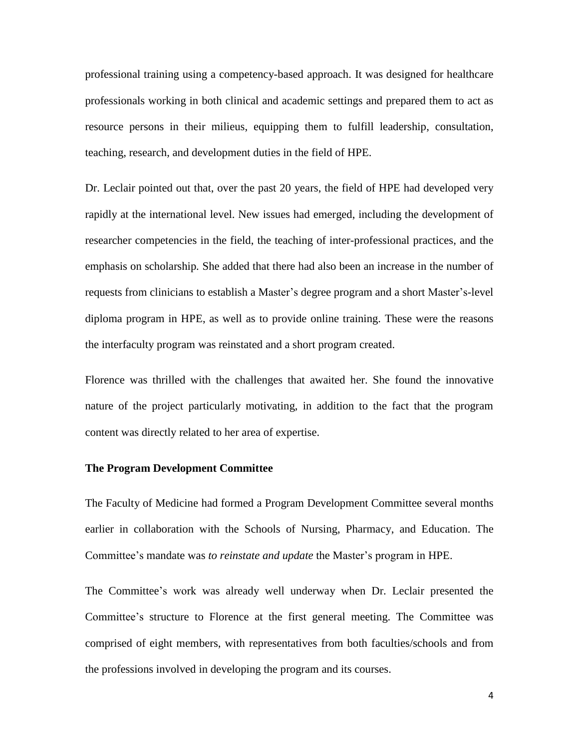professional training using a competency-based approach. It was designed for healthcare professionals working in both clinical and academic settings and prepared them to act as resource persons in their milieus, equipping them to fulfill leadership, consultation, teaching, research, and development duties in the field of HPE.

Dr. Leclair pointed out that, over the past 20 years, the field of HPE had developed very rapidly at the international level. New issues had emerged, including the development of researcher competencies in the field, the teaching of inter-professional practices, and the emphasis on scholarship*.* She added that there had also been an increase in the number of requests from clinicians to establish a Master's degree program and a short Master's-level diploma program in HPE, as well as to provide online training. These were the reasons the interfaculty program was reinstated and a short program created.

Florence was thrilled with the challenges that awaited her. She found the innovative nature of the project particularly motivating, in addition to the fact that the program content was directly related to her area of expertise.

#### **The Program Development Committee**

The Faculty of Medicine had formed a Program Development Committee several months earlier in collaboration with the Schools of Nursing, Pharmacy, and Education. The Committee's mandate was *to reinstate and update* the Master's program in HPE.

The Committee's work was already well underway when Dr. Leclair presented the Committee's structure to Florence at the first general meeting. The Committee was comprised of eight members, with representatives from both faculties/schools and from the professions involved in developing the program and its courses.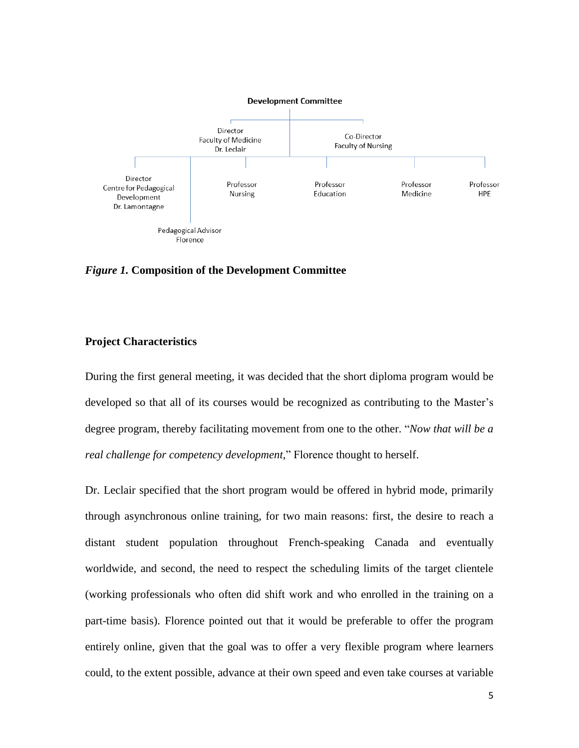

*Figure 1.* **Composition of the Development Committee**

# **Project Characteristics**

During the first general meeting, it was decided that the short diploma program would be developed so that all of its courses would be recognized as contributing to the Master's degree program, thereby facilitating movement from one to the other. "*Now that will be a real challenge for competency development*," Florence thought to herself.

Dr. Leclair specified that the short program would be offered in hybrid mode, primarily through asynchronous online training, for two main reasons: first, the desire to reach a distant student population throughout French-speaking Canada and eventually worldwide, and second, the need to respect the scheduling limits of the target clientele (working professionals who often did shift work and who enrolled in the training on a part-time basis). Florence pointed out that it would be preferable to offer the program entirely online, given that the goal was to offer a very flexible program where learners could, to the extent possible, advance at their own speed and even take courses at variable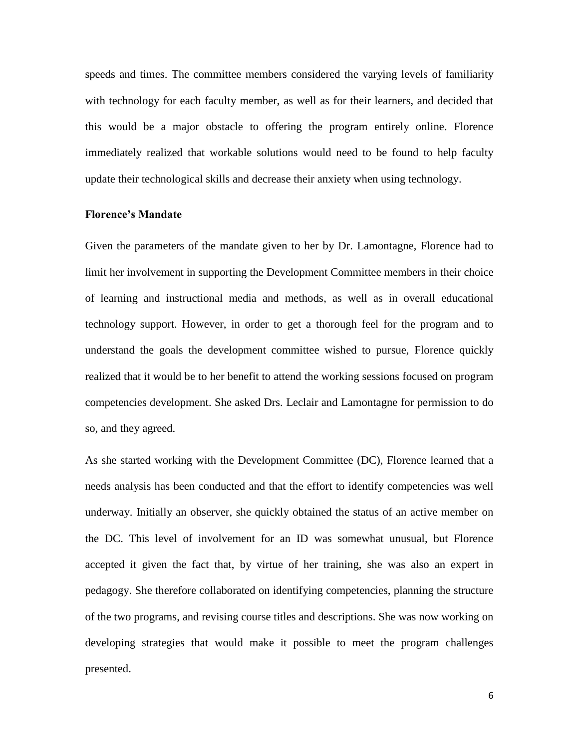speeds and times. The committee members considered the varying levels of familiarity with technology for each faculty member, as well as for their learners, and decided that this would be a major obstacle to offering the program entirely online. Florence immediately realized that workable solutions would need to be found to help faculty update their technological skills and decrease their anxiety when using technology.

#### **Florence's Mandate**

Given the parameters of the mandate given to her by Dr. Lamontagne, Florence had to limit her involvement in supporting the Development Committee members in their choice of learning and instructional media and methods, as well as in overall educational technology support. However, in order to get a thorough feel for the program and to understand the goals the development committee wished to pursue, Florence quickly realized that it would be to her benefit to attend the working sessions focused on program competencies development. She asked Drs. Leclair and Lamontagne for permission to do so, and they agreed.

As she started working with the Development Committee (DC), Florence learned that a needs analysis has been conducted and that the effort to identify competencies was well underway. Initially an observer, she quickly obtained the status of an active member on the DC. This level of involvement for an ID was somewhat unusual, but Florence accepted it given the fact that, by virtue of her training, she was also an expert in pedagogy. She therefore collaborated on identifying competencies, planning the structure of the two programs, and revising course titles and descriptions. She was now working on developing strategies that would make it possible to meet the program challenges presented.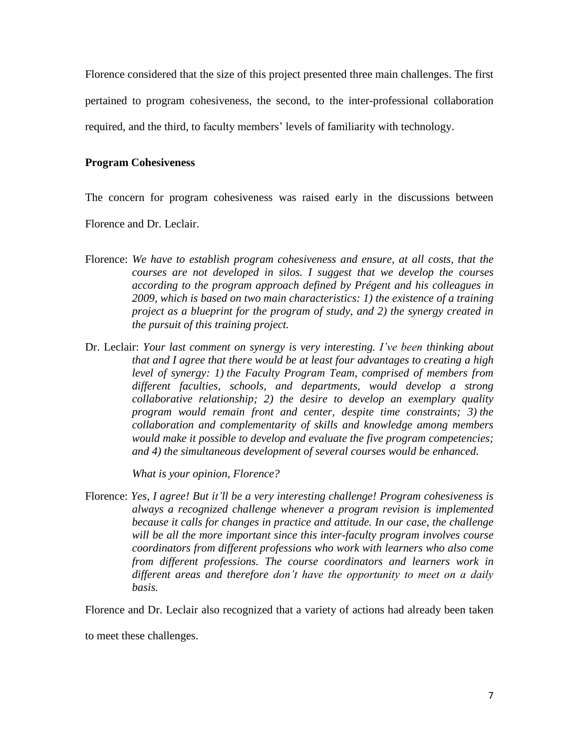Florence considered that the size of this project presented three main challenges. The first pertained to program cohesiveness, the second, to the inter-professional collaboration required, and the third, to faculty members' levels of familiarity with technology.

# **Program Cohesiveness**

The concern for program cohesiveness was raised early in the discussions between

Florence and Dr. Leclair.

- Florence: *We have to establish program cohesiveness and ensure, at all costs, that the courses are not developed in silos. I suggest that we develop the courses according to the program approach defined by Prégent and his colleagues in 2009, which is based on two main characteristics: 1) the existence of a training project as a blueprint for the program of study, and 2) the synergy created in the pursuit of this training project.*
- Dr. Leclair: *Your last comment on synergy is very interesting. I've been thinking about that and I agree that there would be at least four advantages to creating a high level of synergy: 1) the Faculty Program Team, comprised of members from different faculties, schools, and departments, would develop a strong collaborative relationship; 2) the desire to develop an exemplary quality program would remain front and center, despite time constraints; 3) the collaboration and complementarity of skills and knowledge among members would make it possible to develop and evaluate the five program competencies; and 4) the simultaneous development of several courses would be enhanced.*

*What is your opinion, Florence?*

Florence: *Yes, I agree! But it'll be a very interesting challenge! Program cohesiveness is always a recognized challenge whenever a program revision is implemented because it calls for changes in practice and attitude. In our case, the challenge will be all the more important since this inter-faculty program involves course coordinators from different professions who work with learners who also come from different professions. The course coordinators and learners work in different areas and therefore don't have the opportunity to meet on a daily basis.*

Florence and Dr. Leclair also recognized that a variety of actions had already been taken

to meet these challenges.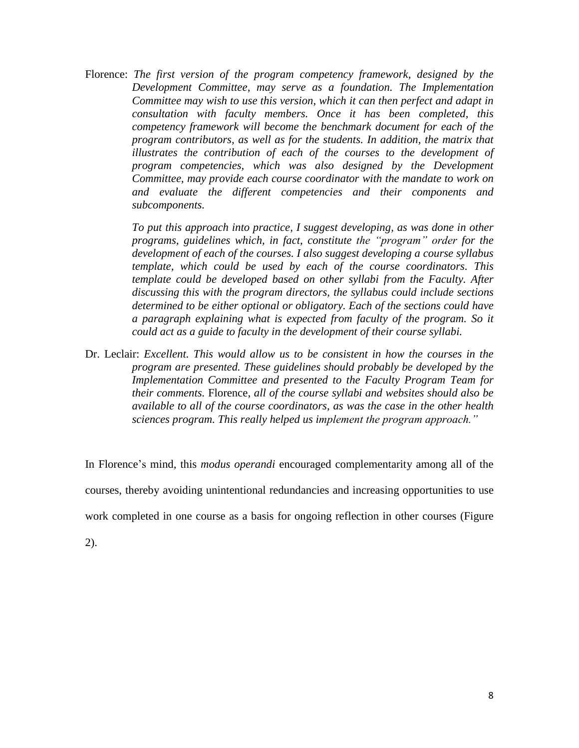Florence: *The first version of the program competency framework, designed by the Development Committee, may serve as a foundation. The Implementation Committee may wish to use this version, which it can then perfect and adapt in consultation with faculty members. Once it has been completed, this competency framework will become the benchmark document for each of the program contributors, as well as for the students. In addition, the matrix that illustrates the contribution of each of the courses to the development of program competencies, which was also designed by the Development Committee, may provide each course coordinator with the mandate to work on and evaluate the different competencies and their components and subcomponents.*

> *To put this approach into practice, I suggest developing, as was done in other programs, guidelines which, in fact, constitute the "program" order for the development of each of the courses. I also suggest developing a course syllabus template, which could be used by each of the course coordinators. This template could be developed based on other syllabi from the Faculty. After discussing this with the program directors, the syllabus could include sections determined to be either optional or obligatory. Each of the sections could have a paragraph explaining what is expected from faculty of the program. So it could act as a guide to faculty in the development of their course syllabi.*

Dr. Leclair: *Excellent. This would allow us to be consistent in how the courses in the program are presented. These guidelines should probably be developed by the Implementation Committee and presented to the Faculty Program Team for their comments.* Florence, *all of the course syllabi and websites should also be available to all of the course coordinators, as was the case in the other health sciences program. This really helped us implement the program approach."*

In Florence's mind, this *modus operandi* encouraged complementarity among all of the courses, thereby avoiding unintentional redundancies and increasing opportunities to use work completed in one course as a basis for ongoing reflection in other courses (Figure

2).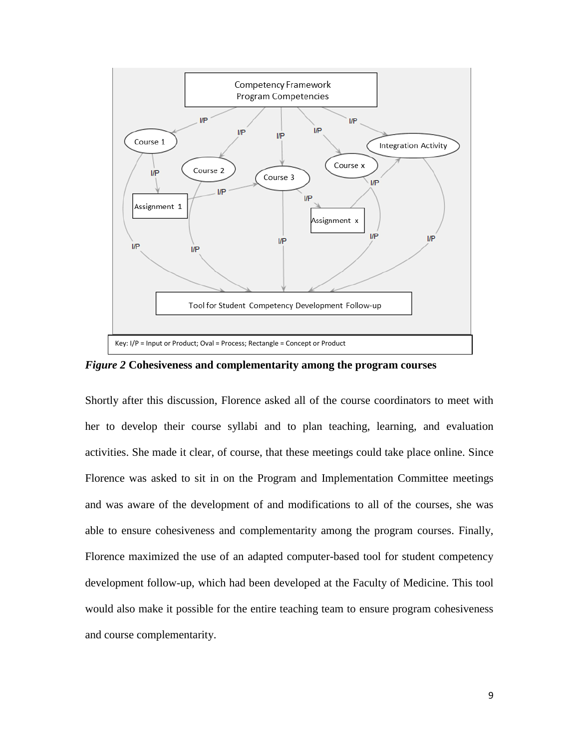

*Figure 2* **Cohesiveness and complementarity among the program courses**

Shortly after this discussion, Florence asked all of the course coordinators to meet with her to develop their course syllabi and to plan teaching, learning, and evaluation activities. She made it clear, of course, that these meetings could take place online. Since Florence was asked to sit in on the Program and Implementation Committee meetings and was aware of the development of and modifications to all of the courses, she was able to ensure cohesiveness and complementarity among the program courses. Finally, Florence maximized the use of an adapted computer-based tool for student competency development follow-up, which had been developed at the Faculty of Medicine. This tool would also make it possible for the entire teaching team to ensure program cohesiveness and course complementarity.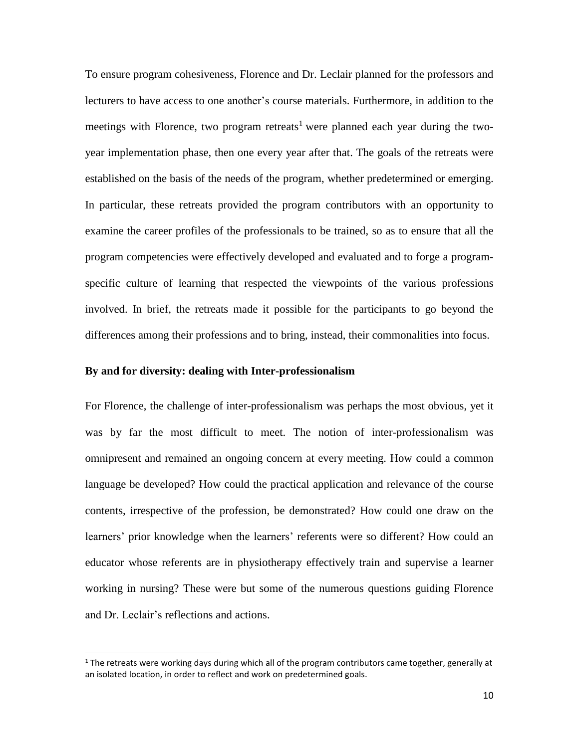To ensure program cohesiveness, Florence and Dr. Leclair planned for the professors and lecturers to have access to one another's course materials. Furthermore, in addition to the meetings with Florence, two program retreats<sup>1</sup> were planned each year during the twoyear implementation phase, then one every year after that. The goals of the retreats were established on the basis of the needs of the program, whether predetermined or emerging. In particular, these retreats provided the program contributors with an opportunity to examine the career profiles of the professionals to be trained, so as to ensure that all the program competencies were effectively developed and evaluated and to forge a programspecific culture of learning that respected the viewpoints of the various professions involved. In brief, the retreats made it possible for the participants to go beyond the differences among their professions and to bring, instead, their commonalities into focus.

#### **By and for diversity: dealing with Inter-professionalism**

l

For Florence, the challenge of inter-professionalism was perhaps the most obvious, yet it was by far the most difficult to meet. The notion of inter-professionalism was omnipresent and remained an ongoing concern at every meeting. How could a common language be developed? How could the practical application and relevance of the course contents, irrespective of the profession, be demonstrated? How could one draw on the learners' prior knowledge when the learners' referents were so different? How could an educator whose referents are in physiotherapy effectively train and supervise a learner working in nursing? These were but some of the numerous questions guiding Florence and Dr. Leclair's reflections and actions.

 $1$  The retreats were working days during which all of the program contributors came together, generally at an isolated location, in order to reflect and work on predetermined goals.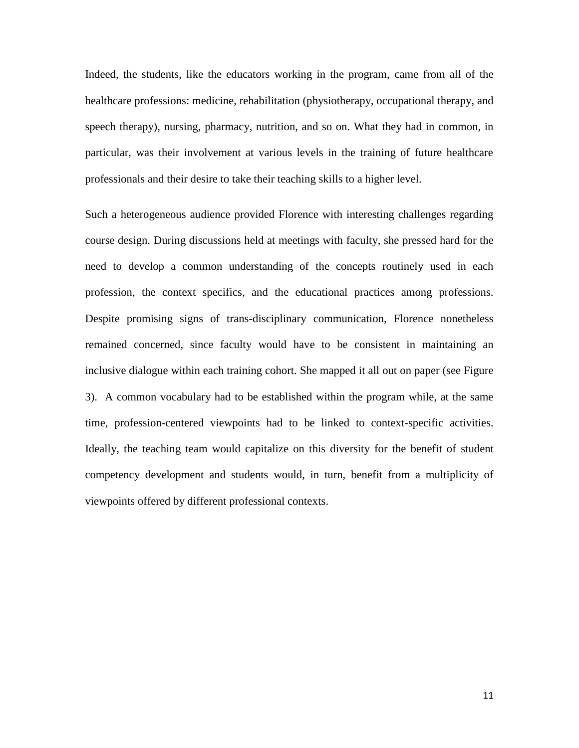Indeed, the students, like the educators working in the program, came from all of the healthcare professions: medicine, rehabilitation (physiotherapy, occupational therapy, and speech therapy), nursing, pharmacy, nutrition, and so on. What they had in common, in particular, was their involvement at various levels in the training of future healthcare professionals and their desire to take their teaching skills to a higher level.

Such a heterogeneous audience provided Florence with interesting challenges regarding course design. During discussions held at meetings with faculty, she pressed hard for the need to develop a common understanding of the concepts routinely used in each profession, the context specifics, and the educational practices among professions. Despite promising signs of trans-disciplinary communication, Florence nonetheless remained concerned, since faculty would have to be consistent in maintaining an inclusive dialogue within each training cohort. She mapped it all out on paper (see Figure 3). A common vocabulary had to be established within the program while, at the same time, profession-centered viewpoints had to be linked to context-specific activities. Ideally, the teaching team would capitalize on this diversity for the benefit of student competency development and students would, in turn, benefit from a multiplicity of viewpoints offered by different professional contexts.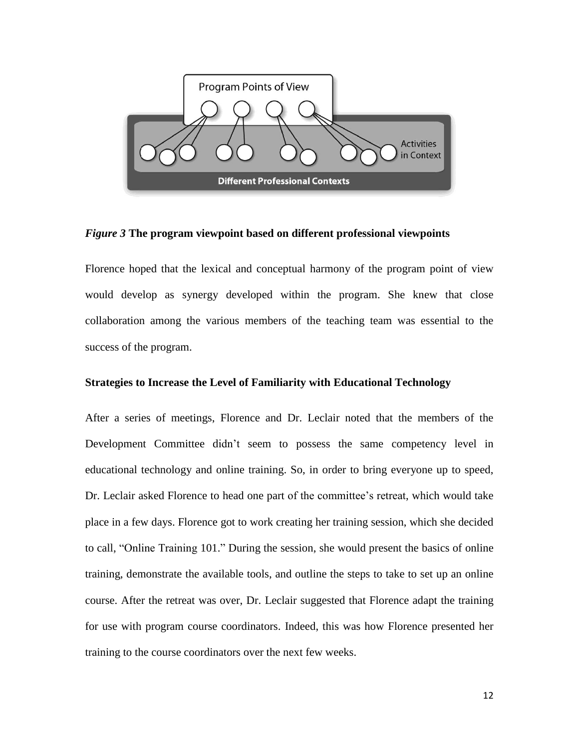

*Figure 3* **The program viewpoint based on different professional viewpoints**

Florence hoped that the lexical and conceptual harmony of the program point of view would develop as synergy developed within the program. She knew that close collaboration among the various members of the teaching team was essential to the success of the program.

## **Strategies to Increase the Level of Familiarity with Educational Technology**

After a series of meetings, Florence and Dr. Leclair noted that the members of the Development Committee didn't seem to possess the same competency level in educational technology and online training. So, in order to bring everyone up to speed, Dr. Leclair asked Florence to head one part of the committee's retreat, which would take place in a few days. Florence got to work creating her training session, which she decided to call, "Online Training 101." During the session, she would present the basics of online training, demonstrate the available tools, and outline the steps to take to set up an online course. After the retreat was over, Dr. Leclair suggested that Florence adapt the training for use with program course coordinators. Indeed, this was how Florence presented her training to the course coordinators over the next few weeks.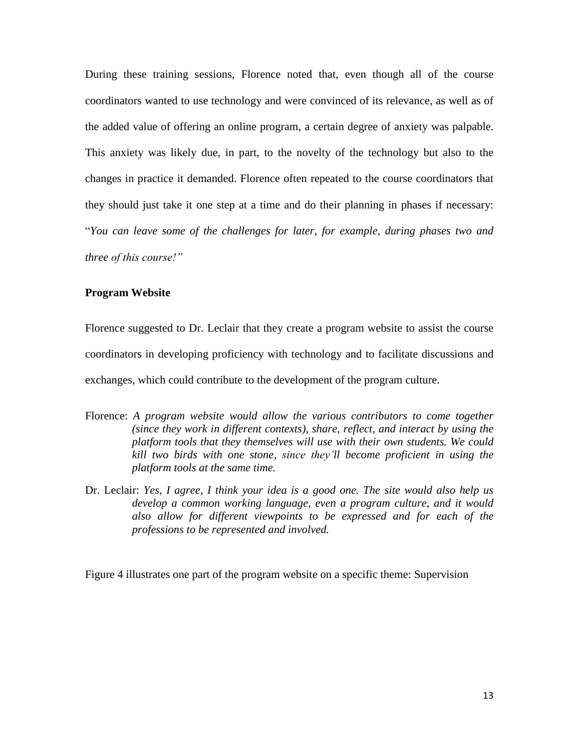During these training sessions, Florence noted that, even though all of the course coordinators wanted to use technology and were convinced of its relevance, as well as of the added value of offering an online program, a certain degree of anxiety was palpable. This anxiety was likely due, in part, to the novelty of the technology but also to the changes in practice it demanded. Florence often repeated to the course coordinators that they should just take it one step at a time and do their planning in phases if necessary: "*You can leave some of the challenges for later, for example, during phases two and three of this course!"*

## **Program Website**

Florence suggested to Dr. Leclair that they create a program website to assist the course coordinators in developing proficiency with technology and to facilitate discussions and exchanges, which could contribute to the development of the program culture.

- Florence: *A program website would allow the various contributors to come together (since they work in different contexts), share, reflect, and interact by using the platform tools that they themselves will use with their own students. We could kill two birds with one stone, since they'll become proficient in using the platform tools at the same time.*
- Dr. Leclair: *Yes, I agree, I think your idea is a good one. The site would also help us develop a common working language, even a program culture, and it would also allow for different viewpoints to be expressed and for each of the professions to be represented and involved.*

Figure 4 illustrates one part of the program website on a specific theme: Supervision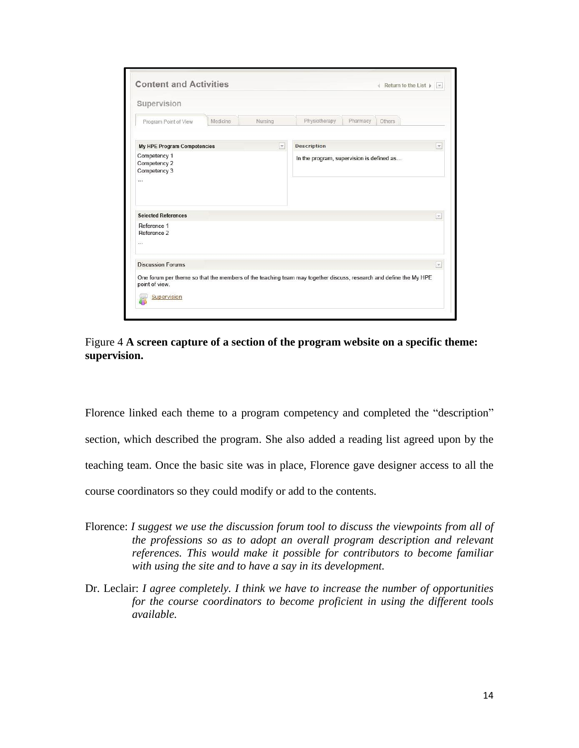| Supervision                                              |                     |                |                                                                                                                   |
|----------------------------------------------------------|---------------------|----------------|-------------------------------------------------------------------------------------------------------------------|
| Program Point of View                                    | Medicine<br>Nursing |                | Physiotherapy<br>Pharmacy<br>Others                                                                               |
| My HPE Program Competencies                              |                     | $ \mathbf{y} $ | <b>Description</b>                                                                                                |
| Competency 1<br>Competency 2<br>Competency 3<br>$\cdots$ |                     |                | In the program, supervision is defined as                                                                         |
| <b>Selected References</b>                               |                     |                | $\overline{\mathcal{S}}$                                                                                          |
| Reference 1<br>Reference 2                               |                     |                |                                                                                                                   |
|                                                          |                     |                | $\mathbf{v}$                                                                                                      |
|                                                          |                     |                |                                                                                                                   |
| 111<br><b>Discussion Forums</b><br>point of view.        |                     |                | One forum per theme so that the members of the teaching team may together discuss, research and define the My HPE |



Florence linked each theme to a program competency and completed the "description" section, which described the program. She also added a reading list agreed upon by the teaching team. Once the basic site was in place, Florence gave designer access to all the course coordinators so they could modify or add to the contents.

- Florence: *I suggest we use the discussion forum tool to discuss the viewpoints from all of the professions so as to adopt an overall program description and relevant references. This would make it possible for contributors to become familiar with using the site and to have a say in its development.*
- Dr. Leclair: *I agree completely. I think we have to increase the number of opportunities for the course coordinators to become proficient in using the different tools available.*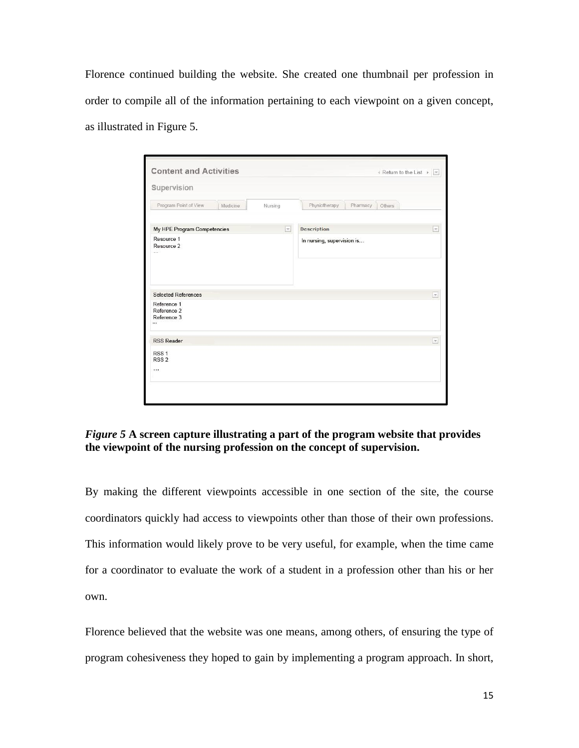Florence continued building the website. She created one thumbnail per profession in order to compile all of the information pertaining to each viewpoint on a given concept, as illustrated in Figure 5.

| <b>Content and Activities</b>                           |          |         |                                    | ← Return to the List $\rightharpoonup$ $\lbrack \mathbf{v} \rbrack$ |
|---------------------------------------------------------|----------|---------|------------------------------------|---------------------------------------------------------------------|
| Supervision                                             |          |         |                                    |                                                                     |
| Program Point of View                                   | Medicine | Nursing | Physiotherapy<br>Pharmacy          | Others                                                              |
| My HPE Program Competencies<br>$\vert \mathbf{v} \vert$ |          |         | <b>Description</b><br>$\mathbf{v}$ |                                                                     |
| Resource 1<br>Resource 2<br>$\cdots$                    |          |         | In nursing, supervision is         |                                                                     |
|                                                         |          |         |                                    |                                                                     |
| <b>Selected References</b><br>Reference 1               |          |         |                                    | $\vert \mathbf{v} \vert$                                            |
| Reference 2<br>Reference 3<br>                          |          |         |                                    |                                                                     |
| <b>RSS Reader</b>                                       |          |         |                                    | $\overline{r}$                                                      |
| RSS <sub>1</sub>                                        |          |         |                                    |                                                                     |
| RSS <sub>2</sub><br>$\cdots$                            |          |         |                                    |                                                                     |
|                                                         |          |         |                                    |                                                                     |

# *Figure 5* **A screen capture illustrating a part of the program website that provides the viewpoint of the nursing profession on the concept of supervision.**

By making the different viewpoints accessible in one section of the site, the course coordinators quickly had access to viewpoints other than those of their own professions. This information would likely prove to be very useful, for example, when the time came for a coordinator to evaluate the work of a student in a profession other than his or her own.

Florence believed that the website was one means, among others, of ensuring the type of program cohesiveness they hoped to gain by implementing a program approach. In short,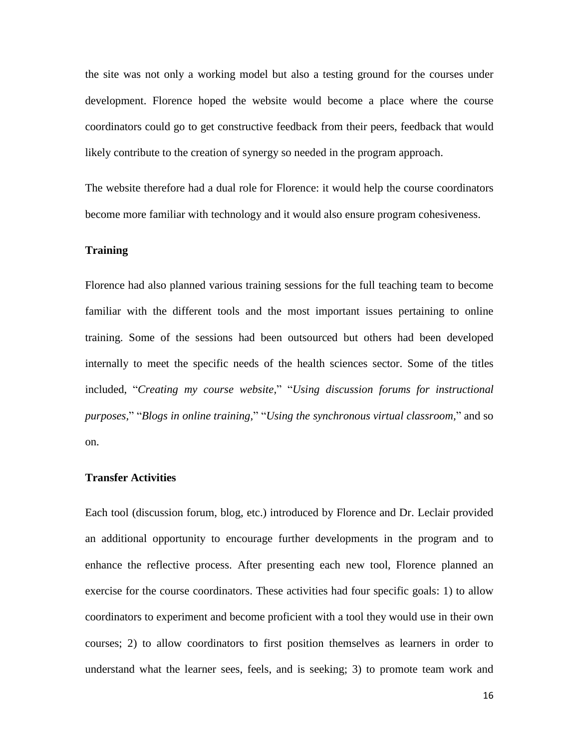the site was not only a working model but also a testing ground for the courses under development. Florence hoped the website would become a place where the course coordinators could go to get constructive feedback from their peers, feedback that would likely contribute to the creation of synergy so needed in the program approach.

The website therefore had a dual role for Florence: it would help the course coordinators become more familiar with technology and it would also ensure program cohesiveness.

## **Training**

Florence had also planned various training sessions for the full teaching team to become familiar with the different tools and the most important issues pertaining to online training. Some of the sessions had been outsourced but others had been developed internally to meet the specific needs of the health sciences sector. Some of the titles included, "*Creating my course website,*" "*Using discussion forums for instructional purposes,*" "*Blogs in online training,*" "*Using the synchronous virtual classroom,*" and so on.

#### **Transfer Activities**

Each tool (discussion forum, blog, etc.) introduced by Florence and Dr. Leclair provided an additional opportunity to encourage further developments in the program and to enhance the reflective process. After presenting each new tool, Florence planned an exercise for the course coordinators. These activities had four specific goals: 1) to allow coordinators to experiment and become proficient with a tool they would use in their own courses; 2) to allow coordinators to first position themselves as learners in order to understand what the learner sees, feels, and is seeking; 3) to promote team work and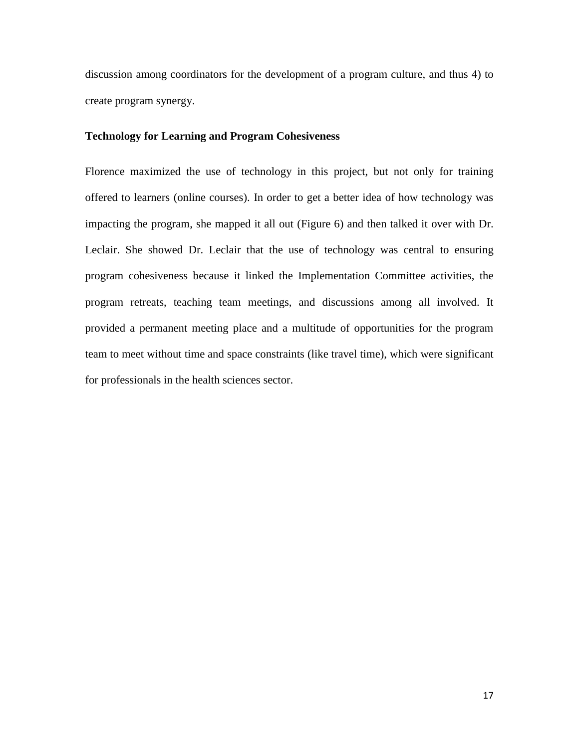discussion among coordinators for the development of a program culture, and thus 4) to create program synergy.

# **Technology for Learning and Program Cohesiveness**

Florence maximized the use of technology in this project, but not only for training offered to learners (online courses). In order to get a better idea of how technology was impacting the program, she mapped it all out (Figure 6) and then talked it over with Dr. Leclair. She showed Dr. Leclair that the use of technology was central to ensuring program cohesiveness because it linked the Implementation Committee activities, the program retreats, teaching team meetings, and discussions among all involved. It provided a permanent meeting place and a multitude of opportunities for the program team to meet without time and space constraints (like travel time), which were significant for professionals in the health sciences sector.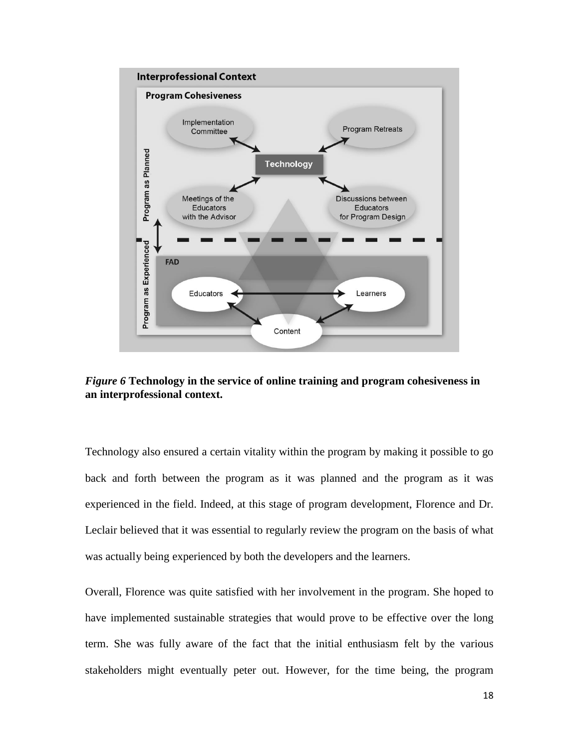

*Figure 6* **Technology in the service of online training and program cohesiveness in an interprofessional context.**

Technology also ensured a certain vitality within the program by making it possible to go back and forth between the program as it was planned and the program as it was experienced in the field. Indeed, at this stage of program development, Florence and Dr. Leclair believed that it was essential to regularly review the program on the basis of what was actually being experienced by both the developers and the learners.

Overall, Florence was quite satisfied with her involvement in the program. She hoped to have implemented sustainable strategies that would prove to be effective over the long term. She was fully aware of the fact that the initial enthusiasm felt by the various stakeholders might eventually peter out. However, for the time being, the program